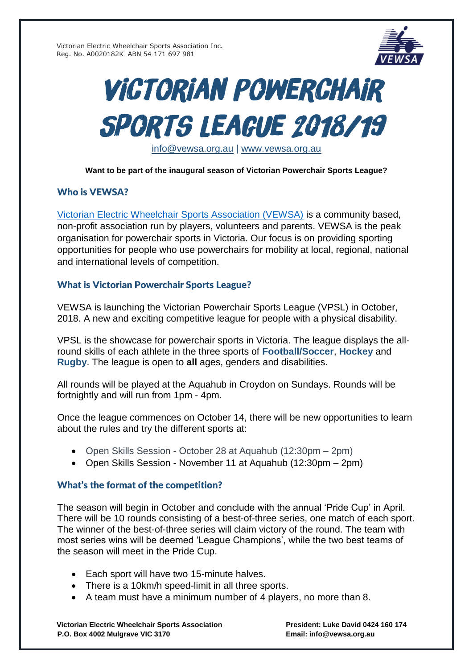

# **VICTORIAN POWERCHAIR SPORTS LEAGUE 2018/19**

[info@vewsa.org.au](mailto:info@vewsa.org.au) | [www.vewsa.org.au](http://www.vewsa.org.au/)

### **Want to be part of the inaugural season of Victorian Powerchair Sports League?**

# Who is VEWSA?

[Victorian Electric Wheelchair Sports Association \(VEWSA\)](http://www.vewsa.org.au/) is a community based, non-profit association run by players, volunteers and parents. VEWSA is the peak organisation for powerchair sports in Victoria. Our focus is on providing sporting opportunities for people who use powerchairs for mobility at local, regional, national and international levels of competition.

# What is Victorian Powerchair Sports League?

VEWSA is launching the Victorian Powerchair Sports League (VPSL) in October, 2018. A new and exciting competitive league for people with a physical disability.

VPSL is the showcase for powerchair sports in Victoria. The league displays the allround skills of each athlete in the three sports of **Football/Soccer**, **Hockey** and **Rugby**. The league is open to **all** ages, genders and disabilities.

All rounds will be played at the Aquahub in Croydon on Sundays. Rounds will be fortnightly and will run from 1pm - 4pm.

Once the league commences on October 14, there will be new opportunities to learn about the rules and try the different sports at:

- Open Skills Session October 28 at Aquahub (12:30pm 2pm)
- Open Skills Session November 11 at Aquahub (12:30pm 2pm)

# What's the format of the competition?

The season will begin in October and conclude with the annual 'Pride Cup' in April. There will be 10 rounds consisting of a best-of-three series, one match of each sport. The winner of the best-of-three series will claim victory of the round. The team with most series wins will be deemed 'League Champions', while the two best teams of the season will meet in the Pride Cup.

- Each sport will have two 15-minute halves.
- There is a 10km/h speed-limit in all three sports.
- A team must have a minimum number of 4 players, no more than 8.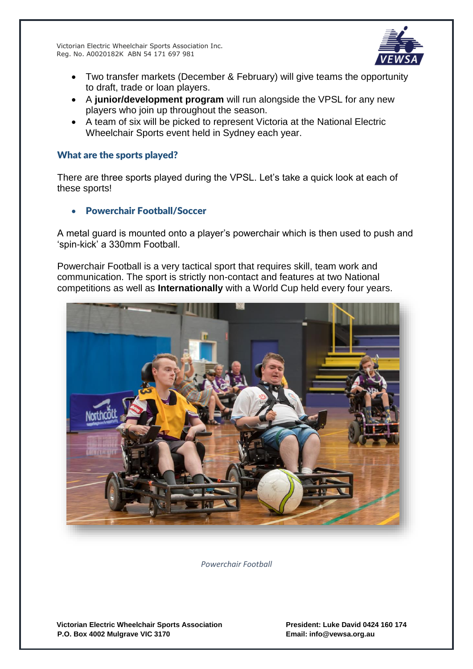

- Two transfer markets (December & February) will give teams the opportunity to draft, trade or loan players.
- A **junior/development program** will run alongside the VPSL for any new players who join up throughout the season.
- A team of six will be picked to represent Victoria at the National Electric Wheelchair Sports event held in Sydney each year.

#### What are the sports played?

There are three sports played during the VPSL. Let's take a quick look at each of these sports!

• Powerchair Football/Soccer

A metal guard is mounted onto a player's powerchair which is then used to push and 'spin-kick' a 330mm Football.

Powerchair Football is a very tactical sport that requires skill, team work and communication. The sport is strictly non-contact and features at two National competitions as well as **Internationally** with a World Cup held every four years.



*Powerchair Football*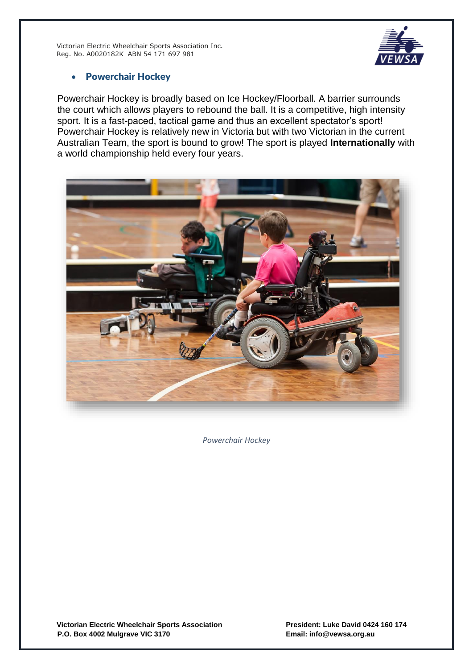

## • Powerchair Hockey

Powerchair Hockey is broadly based on Ice Hockey/Floorball. A barrier surrounds the court which allows players to rebound the ball. It is a competitive, high intensity sport. It is a fast-paced, tactical game and thus an excellent spectator's sport! Powerchair Hockey is relatively new in Victoria but with two Victorian in the current Australian Team, the sport is bound to grow! The sport is played **Internationally** with a world championship held every four years.



*Powerchair Hockey*

**Victorian Electric Wheelchair Sports Association President: Luke David 0424 160 174 P.O. Box 4002 Mulgrave VIC 3170 Email: info@vewsa.org.au**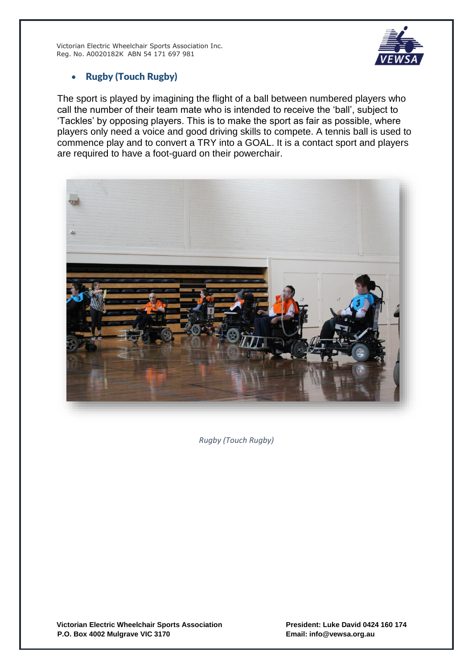

## • Rugby (Touch Rugby)

The sport is played by imagining the flight of a ball between numbered players who call the number of their team mate who is intended to receive the 'ball', subject to 'Tackles' by opposing players. This is to make the sport as fair as possible, where players only need a voice and good driving skills to compete. A tennis ball is used to commence play and to convert a TRY into a GOAL. It is a contact sport and players are required to have a foot-guard on their powerchair.



*Rugby (Touch Rugby)*

Victorian Electric Wheelchair Sports Association **President: Luke David 0424 160 174**<br>P.O. Box 4002 Mulgrave VIC 3170 **P.O. Box 4002 Mulgrave VIC 3170 P.O. Box 4002 Mulgrave VIC 3170**